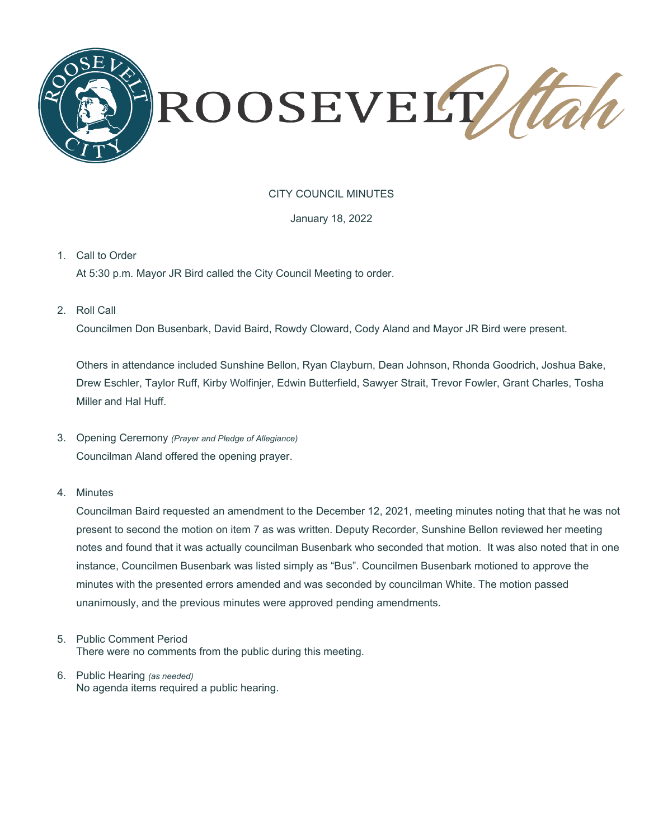

# CITY COUNCIL MINUTES

## January 18, 2022

# 1. Call to Order

At 5:30 p.m. Mayor JR Bird called the City Council Meeting to order.

2. Roll Call

Councilmen Don Busenbark, David Baird, Rowdy Cloward, Cody Aland and Mayor JR Bird were present.

Others in attendance included Sunshine Bellon, Ryan Clayburn, Dean Johnson, Rhonda Goodrich, Joshua Bake, Drew Eschler, Taylor Ruff, Kirby Wolfinjer, Edwin Butterfield, Sawyer Strait, Trevor Fowler, Grant Charles, Tosha Miller and Hal Huff.

- 3. Opening Ceremony *(Prayer and Pledge of Allegiance)* Councilman Aland offered the opening prayer.
- 4. Minutes

Councilman Baird requested an amendment to the December 12, 2021, meeting minutes noting that that he was not present to second the motion on item 7 as was written. Deputy Recorder, Sunshine Bellon reviewed her meeting notes and found that it was actually councilman Busenbark who seconded that motion. It was also noted that in one instance, Councilmen Busenbark was listed simply as "Bus". Councilmen Busenbark motioned to approve the minutes with the presented errors amended and was seconded by councilman White. The motion passed unanimously, and the previous minutes were approved pending amendments.

- 5. Public Comment Period There were no comments from the public during this meeting.
- 6. Public Hearing *(as needed)* No agenda items required a public hearing.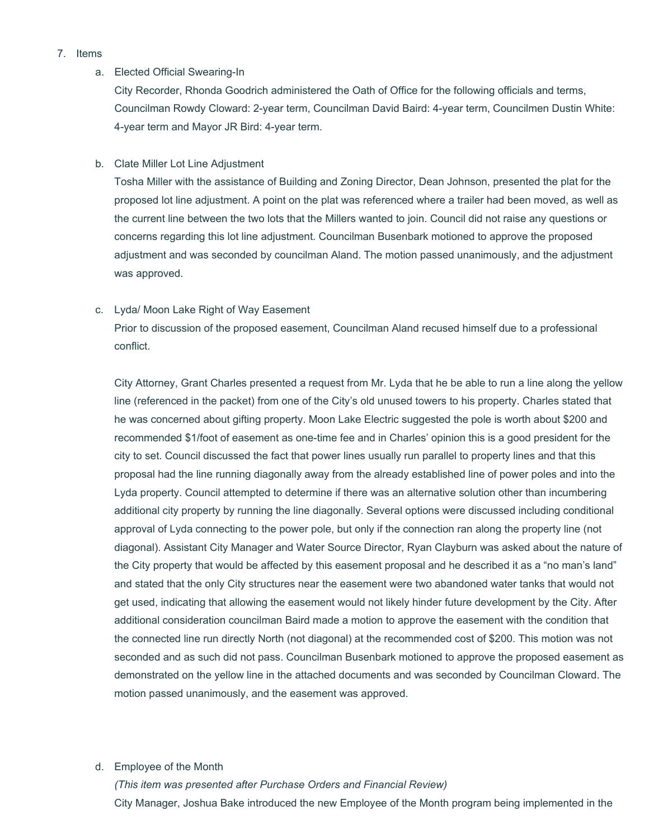## 7. Items

## a. Elected Official Swearing-In

City Recorder, Rhonda Goodrich administered the Oath of Office for the following officials and terms, Councilman Rowdy Cloward: 2-year term, Councilman David Baird: 4-year term, Councilmen Dustin White: 4-year term and Mayor JR Bird: 4-year term.

b. Clate Miller Lot Line Adjustment

Tosha Miller with the assistance of Building and Zoning Director, Dean Johnson, presented the plat for the proposed lot line adjustment. A point on the plat was referenced where a trailer had been moved, as well as the current line between the two lots that the Millers wanted to join. Council did not raise any questions or concerns regarding this lot line adjustment. Councilman Busenbark motioned to approve the proposed adjustment and was seconded by councilman Aland. The motion passed unanimously, and the adjustment was approved.

## c. Lyda/ Moon Lake Right of Way Easement

Prior to discussion of the proposed easement, Councilman Aland recused himself due to a professional conflict.

City Attorney, Grant Charles presented a request from Mr. Lyda that he be able to run a line along the yellow line (referenced in the packet) from one of the City's old unused towers to his property. Charles stated that he was concerned about gifting property. Moon Lake Electric suggested the pole is worth about \$200 and recommended \$1/foot of easement as one-time fee and in Charles' opinion this is a good president for the city to set. Council discussed the fact that power lines usually run parallel to property lines and that this proposal had the line running diagonally away from the already established line of power poles and into the Lyda property. Council attempted to determine if there was an alternative solution other than incumbering additional city property by running the line diagonally. Several options were discussed including conditional approval of Lyda connecting to the power pole, but only if the connection ran along the property line (not diagonal). Assistant City Manager and Water Source Director, Ryan Clayburn was asked about the nature of the City property that would be affected by this easement proposal and he described it as a "no man's land" and stated that the only City structures near the easement were two abandoned water tanks that would not get used, indicating that allowing the easement would not likely hinder future development by the City. After additional consideration councilman Baird made a motion to approve the easement with the condition that the connected line run directly North (not diagonal) at the recommended cost of \$200. This motion was not seconded and as such did not pass. Councilman Busenbark motioned to approve the proposed easement as demonstrated on the yellow line in the attached documents and was seconded by Councilman Cloward. The motion passed unanimously, and the easement was approved.

## d. Employee of the Month

*(This item was presented after Purchase Orders and Financial Review)* City Manager, Joshua Bake introduced the new Employee of the Month program being implemented in the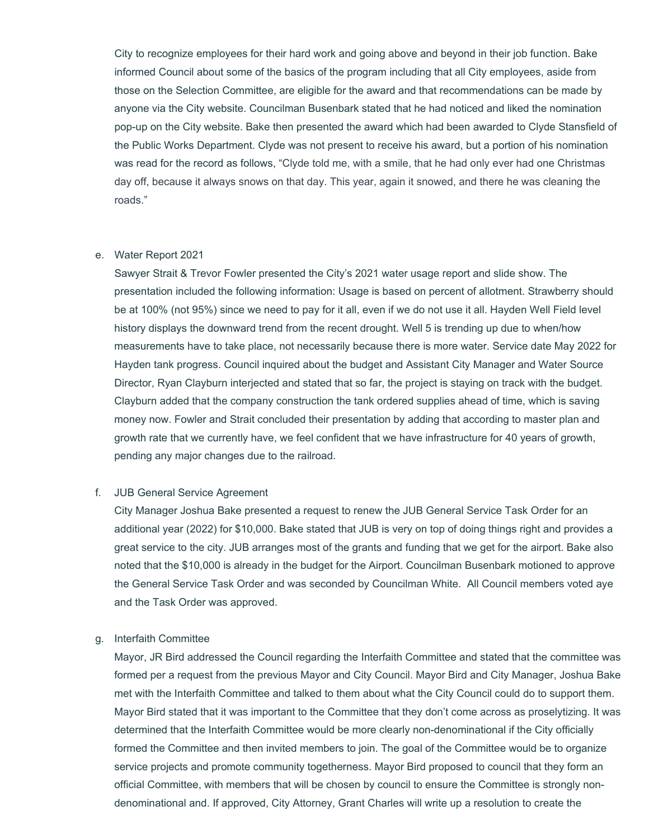City to recognize employees for their hard work and going above and beyond in their job function. Bake informed Council about some of the basics of the program including that all City employees, aside from those on the Selection Committee, are eligible for the award and that recommendations can be made by anyone via the City website. Councilman Busenbark stated that he had noticed and liked the nomination pop-up on the City website. Bake then presented the award which had been awarded to Clyde Stansfield of the Public Works Department. Clyde was not present to receive his award, but a portion of his nomination was read for the record as follows, "Clyde told me, with a smile, that he had only ever had one Christmas day off, because it always snows on that day. This year, again it snowed, and there he was cleaning the roads."

#### e. Water Report 2021

Sawyer Strait & Trevor Fowler presented the City's 2021 water usage report and slide show. The presentation included the following information: Usage is based on percent of allotment. Strawberry should be at 100% (not 95%) since we need to pay for it all, even if we do not use it all. Hayden Well Field level history displays the downward trend from the recent drought. Well 5 is trending up due to when/how measurements have to take place, not necessarily because there is more water. Service date May 2022 for Hayden tank progress. Council inquired about the budget and Assistant City Manager and Water Source Director, Ryan Clayburn interjected and stated that so far, the project is staying on track with the budget. Clayburn added that the company construction the tank ordered supplies ahead of time, which is saving money now. Fowler and Strait concluded their presentation by adding that according to master plan and growth rate that we currently have, we feel confident that we have infrastructure for 40 years of growth, pending any major changes due to the railroad.

## f. JUB General Service Agreement

City Manager Joshua Bake presented a request to renew the JUB General Service Task Order for an additional year (2022) for \$10,000. Bake stated that JUB is very on top of doing things right and provides a great service to the city. JUB arranges most of the grants and funding that we get for the airport. Bake also noted that the \$10,000 is already in the budget for the Airport. Councilman Busenbark motioned to approve the General Service Task Order and was seconded by Councilman White. All Council members voted aye and the Task Order was approved.

## g. Interfaith Committee

Mayor, JR Bird addressed the Council regarding the Interfaith Committee and stated that the committee was formed per a request from the previous Mayor and City Council. Mayor Bird and City Manager, Joshua Bake met with the Interfaith Committee and talked to them about what the City Council could do to support them. Mayor Bird stated that it was important to the Committee that they don't come across as proselytizing. It was determined that the Interfaith Committee would be more clearly non-denominational if the City officially formed the Committee and then invited members to join. The goal of the Committee would be to organize service projects and promote community togetherness. Mayor Bird proposed to council that they form an official Committee, with members that will be chosen by council to ensure the Committee is strongly nondenominational and. If approved, City Attorney, Grant Charles will write up a resolution to create the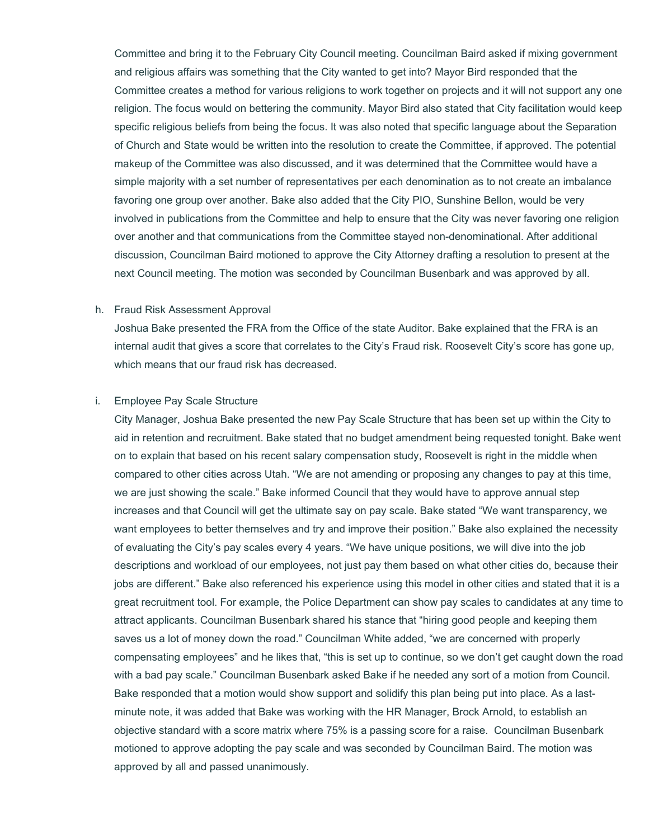Committee and bring it to the February City Council meeting. Councilman Baird asked if mixing government and religious affairs was something that the City wanted to get into? Mayor Bird responded that the Committee creates a method for various religions to work together on projects and it will not support any one religion. The focus would on bettering the community. Mayor Bird also stated that City facilitation would keep specific religious beliefs from being the focus. It was also noted that specific language about the Separation of Church and State would be written into the resolution to create the Committee, if approved. The potential makeup of the Committee was also discussed, and it was determined that the Committee would have a simple majority with a set number of representatives per each denomination as to not create an imbalance favoring one group over another. Bake also added that the City PIO, Sunshine Bellon, would be very involved in publications from the Committee and help to ensure that the City was never favoring one religion over another and that communications from the Committee stayed non-denominational. After additional discussion, Councilman Baird motioned to approve the City Attorney drafting a resolution to present at the next Council meeting. The motion was seconded by Councilman Busenbark and was approved by all.

#### h. Fraud Risk Assessment Approval

Joshua Bake presented the FRA from the Office of the state Auditor. Bake explained that the FRA is an internal audit that gives a score that correlates to the City's Fraud risk. Roosevelt City's score has gone up, which means that our fraud risk has decreased.

#### i. Employee Pay Scale Structure

City Manager, Joshua Bake presented the new Pay Scale Structure that has been set up within the City to aid in retention and recruitment. Bake stated that no budget amendment being requested tonight. Bake went on to explain that based on his recent salary compensation study, Roosevelt is right in the middle when compared to other cities across Utah. "We are not amending or proposing any changes to pay at this time, we are just showing the scale." Bake informed Council that they would have to approve annual step increases and that Council will get the ultimate say on pay scale. Bake stated "We want transparency, we want employees to better themselves and try and improve their position." Bake also explained the necessity of evaluating the City's pay scales every 4 years. "We have unique positions, we will dive into the job descriptions and workload of our employees, not just pay them based on what other cities do, because their jobs are different." Bake also referenced his experience using this model in other cities and stated that it is a great recruitment tool. For example, the Police Department can show pay scales to candidates at any time to attract applicants. Councilman Busenbark shared his stance that "hiring good people and keeping them saves us a lot of money down the road." Councilman White added, "we are concerned with properly compensating employees" and he likes that, "this is set up to continue, so we don't get caught down the road with a bad pay scale." Councilman Busenbark asked Bake if he needed any sort of a motion from Council. Bake responded that a motion would show support and solidify this plan being put into place. As a lastminute note, it was added that Bake was working with the HR Manager, Brock Arnold, to establish an objective standard with a score matrix where 75% is a passing score for a raise. Councilman Busenbark motioned to approve adopting the pay scale and was seconded by Councilman Baird. The motion was approved by all and passed unanimously.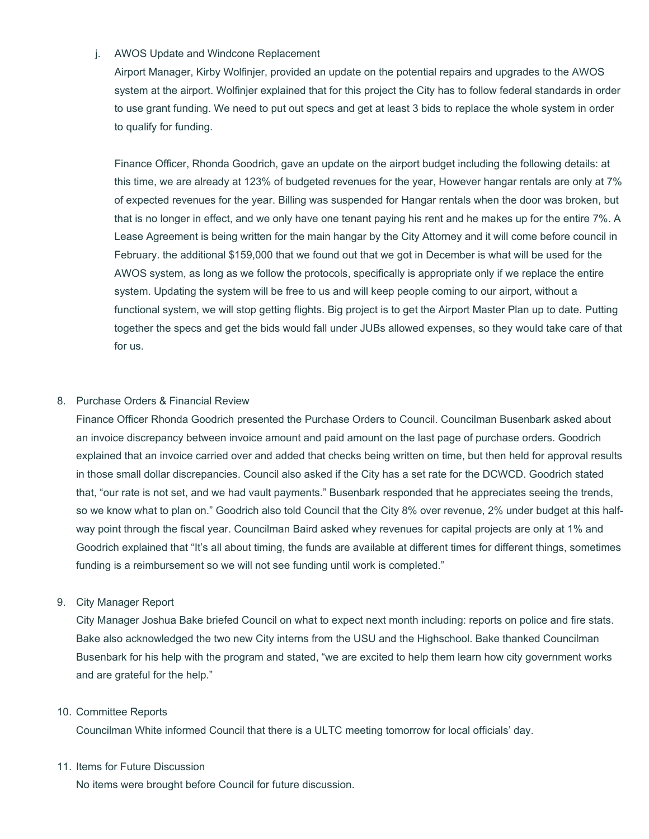# j. AWOS Update and Windcone Replacement

Airport Manager, Kirby Wolfinjer, provided an update on the potential repairs and upgrades to the AWOS system at the airport. Wolfinjer explained that for this project the City has to follow federal standards in order to use grant funding. We need to put out specs and get at least 3 bids to replace the whole system in order to qualify for funding.

Finance Officer, Rhonda Goodrich, gave an update on the airport budget including the following details: at this time, we are already at 123% of budgeted revenues for the year, However hangar rentals are only at 7% of expected revenues for the year. Billing was suspended for Hangar rentals when the door was broken, but that is no longer in effect, and we only have one tenant paying his rent and he makes up for the entire 7%. A Lease Agreement is being written for the main hangar by the City Attorney and it will come before council in February. the additional \$159,000 that we found out that we got in December is what will be used for the AWOS system, as long as we follow the protocols, specifically is appropriate only if we replace the entire system. Updating the system will be free to us and will keep people coming to our airport, without a functional system, we will stop getting flights. Big project is to get the Airport Master Plan up to date. Putting together the specs and get the bids would fall under JUBs allowed expenses, so they would take care of that for us.

# 8. Purchase Orders & Financial Review

Finance Officer Rhonda Goodrich presented the Purchase Orders to Council. Councilman Busenbark asked about an invoice discrepancy between invoice amount and paid amount on the last page of purchase orders. Goodrich explained that an invoice carried over and added that checks being written on time, but then held for approval results in those small dollar discrepancies. Council also asked if the City has a set rate for the DCWCD. Goodrich stated that, "our rate is not set, and we had vault payments." Busenbark responded that he appreciates seeing the trends, so we know what to plan on." Goodrich also told Council that the City 8% over revenue, 2% under budget at this halfway point through the fiscal year. Councilman Baird asked whey revenues for capital projects are only at 1% and Goodrich explained that "It's all about timing, the funds are available at different times for different things, sometimes funding is a reimbursement so we will not see funding until work is completed."

## 9. City Manager Report

City Manager Joshua Bake briefed Council on what to expect next month including: reports on police and fire stats. Bake also acknowledged the two new City interns from the USU and the Highschool. Bake thanked Councilman Busenbark for his help with the program and stated, "we are excited to help them learn how city government works and are grateful for the help."

## 10. Committee Reports

Councilman White informed Council that there is a ULTC meeting tomorrow for local officials' day.

## 11. Items for Future Discussion

No items were brought before Council for future discussion.